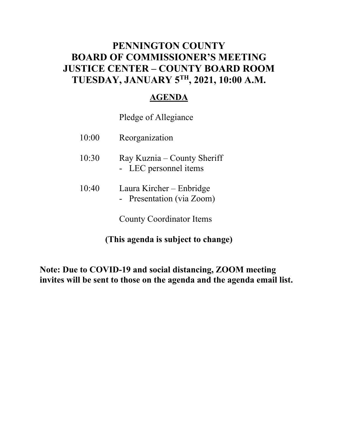### **PENNINGTON COUNTY BOARD OF COMMISSIONER'S MEETING JUSTICE CENTER – COUNTY BOARD ROOM TUESDAY, JANUARY 5TH, 2021, 10:00 A.M.**

### **AGENDA**

### Pledge of Allegiance

| 10:00 | Reorganization                                        |
|-------|-------------------------------------------------------|
| 10:30 | Ray Kuznia – County Sheriff<br>- LEC personnel items  |
| 10:40 | Laura Kircher – Enbridge<br>- Presentation (via Zoom) |
|       | <b>County Coordinator Items</b>                       |

**(This agenda is subject to change)** 

**Note: Due to COVID-19 and social distancing, ZOOM meeting invites will be sent to those on the agenda and the agenda email list.**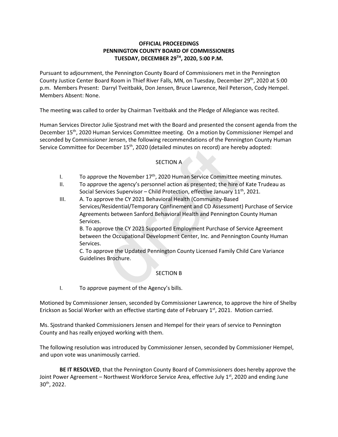#### **OFFICIAL PROCEEDINGS PENNINGTON COUNTY BOARD OF COMMISSIONERS TUESDAY, DECEMBER 29TH , 2020, 5:00 P.M.**

Pursuant to adjournment, the Pennington County Board of Commissioners met in the Pennington County Justice Center Board Room in Thief River Falls, MN, on Tuesday, December 29<sup>th</sup>, 2020 at 5:00 p.m. Members Present: Darryl Tveitbakk, Don Jensen, Bruce Lawrence, Neil Peterson, Cody Hempel. Members Absent: None.

The meeting was called to order by Chairman Tveitbakk and the Pledge of Allegiance was recited.

Human Services Director Julie Sjostrand met with the Board and presented the consent agenda from the December 15<sup>th</sup>, 2020 Human Services Committee meeting. On a motion by Commissioner Hempel and seconded by Commissioner Jensen, the following recommendations of the Pennington County Human Service Committee for December 15<sup>th</sup>, 2020 (detailed minutes on record) are hereby adopted:

#### SECTION A

- I. To approve the November  $17<sup>th</sup>$ , 2020 Human Service Committee meeting minutes.
- II. To approve the agency's personnel action as presented; the hire of Kate Trudeau as Social Services Supervisor – Child Protection, effective January 11<sup>th</sup>, 2021.
- III. A. To approve the CY 2021 Behavioral Health (Community-Based Services/Residential/Temporary Confinement and CD Assessment) Purchase of Service Agreements between Sanford Behavioral Health and Pennington County Human Services. December 15<sup>th</sup>, 2020 (detailed minutes on record) are here<br>
SECTION A<br>
SECTION A<br>
rrowe the November 17<sup>th</sup>, 2020 Human Service Committee n<br>
rrowe the agency's personnel action as presented; the hire o<br>
Services Superviso

B. To approve the CY 2021 Supported Employment Purchase of Service Agreement between the Occupational Development Center, Inc. and Pennington County Human Services.

C. To approve the Updated Pennington County Licensed Family Child Care Variance Guidelines Brochure.

#### SECTION B

I. To approve payment of the Agency's bills.

Motioned by Commissioner Jensen, seconded by Commissioner Lawrence, to approve the hire of Shelby Erickson as Social Worker with an effective starting date of February  $1<sup>st</sup>$ , 2021. Motion carried.

Ms. Sjostrand thanked Commissioners Jensen and Hempel for their years of service to Pennington County and has really enjoyed working with them.

The following resolution was introduced by Commissioner Jensen, seconded by Commissioner Hempel, and upon vote was unanimously carried.

**BE IT RESOLVED**, that the Pennington County Board of Commissioners does hereby approve the Joint Power Agreement – Northwest Workforce Service Area, effective July 1<sup>st</sup>, 2020 and ending June 30th, 2022.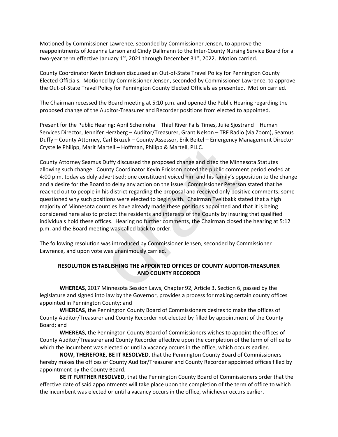Motioned by Commissioner Lawrence, seconded by Commissioner Jensen, to approve the reappointments of Joeanna Larson and Cindy Dallmann to the Inter-County Nursing Service Board for a two-year term effective January  $1<sup>st</sup>$ , 2021 through December 31 $<sup>st</sup>$ , 2022. Motion carried.</sup>

County Coordinator Kevin Erickson discussed an Out-of-State Travel Policy for Pennington County Elected Officials. Motioned by Commissioner Jensen, seconded by Commissioner Lawrence, to approve the Out-of-State Travel Policy for Pennington County Elected Officials as presented. Motion carried.

The Chairman recessed the Board meeting at 5:10 p.m. and opened the Public Hearing regarding the proposed change of the Auditor-Treasurer and Recorder positions from elected to appointed.

Present for the Public Hearing: April Scheinoha – Thief River Falls Times, Julie Sjostrand – Human Services Director, Jennifer Herzberg – Auditor/Treasurer, Grant Nelson – TRF Radio (via Zoom), Seamus Duffy – County Attorney, Carl Bruzek – County Assessor, Erik Beitel – Emergency Management Director Crystelle Philipp, Marit Martell – Hoffman, Philipp & Martell, PLLC.

County Attorney Seamus Duffy discussed the proposed change and cited the Minnesota Statutes allowing such change. County Coordinator Kevin Erickson noted the public comment period ended at 4:00 p.m. today as duly advertised; one constituent voiced him and his family's opposition to the change and a desire for the Board to delay any action on the issue. Commissioner Peterson stated that he reached out to people in his district regarding the proposal and received only positive comments; some questioned why such positions were elected to begin with. Chairman Tveitbakk stated that a high majority of Minnesota counties have already made these positions appointed and that it is being considered here also to protect the residents and interests of the County by insuring that qualified individuals hold these offices. Hearing no further comments, the Chairman closed the hearing at 5:12 p.m. and the Board meeting was called back to order. Martell – Hoffman, Philipp & Martell, PLLC.<br>
us Duffy discussed the proposed change and cited the Minn<br>
County Coordinator Kevin Erickson noted the public comme<br> *a* dvertised; one constituent voiced him and his family's o

The following resolution was introduced by Commissioner Jensen, seconded by Commissioner Lawrence, and upon vote was unanimously carried.

#### **RESOLUTION ESTABLISHING THE APPOINTED OFFICES OF COUNTY AUDITOR-TREASURER AND COUNTY RECORDER**

**WHEREAS**, 2017 Minnesota Session Laws, Chapter 92, Article 3, Section 6, passed by the legislature and signed into law by the Governor, provides a process for making certain county offices appointed in Pennington County; and

**WHEREAS**, the Pennington County Board of Commissioners desires to make the offices of County Auditor/Treasurer and County Recorder not elected by filled by appointment of the County Board; and

**WHEREAS**, the Pennington County Board of Commissioners wishes to appoint the offices of County Auditor/Treasurer and County Recorder effective upon the completion of the term of office to which the incumbent was elected or until a vacancy occurs in the office, which occurs earlier.

**NOW, THEREFORE, BE IT RESOLVED**, that the Pennington County Board of Commissioners hereby makes the offices of County Auditor/Treasurer and County Recorder appointed offices filled by appointment by the County Board.

**BE IT FURTHER RESOLVED**, that the Pennington County Board of Commissioners order that the effective date of said appointments will take place upon the completion of the term of office to which the incumbent was elected or until a vacancy occurs in the office, whichever occurs earlier.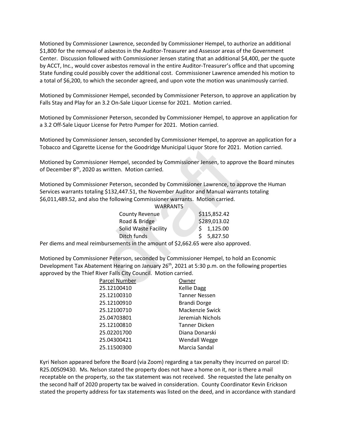Motioned by Commissioner Lawrence, seconded by Commissioner Hempel, to authorize an additional \$1,800 for the removal of asbestos in the Auditor-Treasurer and Assessor areas of the Government Center. Discussion followed with Commissioner Jensen stating that an additional \$4,400, per the quote by ACCT, Inc., would cover asbestos removal in the entire Auditor-Treasurer's office and that upcoming State funding could possibly cover the additional cost. Commissioner Lawrence amended his motion to a total of \$6,200, to which the seconder agreed, and upon vote the motion was unanimously carried.

Motioned by Commissioner Hempel, seconded by Commissioner Peterson, to approve an application by Falls Stay and Play for an 3.2 On-Sale Liquor License for 2021. Motion carried.

Motioned by Commissioner Peterson, seconded by Commissioner Hempel, to approve an application for a 3.2 Off-Sale Liquor License for Petro Pumper for 2021. Motion carried.

Motioned by Commissioner Jensen, seconded by Commissioner Hempel, to approve an application for a Tobacco and Cigarette License for the Goodridge Municipal Liquor Store for 2021. Motion carried.

Motioned by Commissioner Hempel, seconded by Commissioner Jensen, to approve the Board minutes of December 8<sup>th</sup>, 2020 as written. Motion carried.

Motioned by Commissioner Peterson, seconded by Commissioner Lawrence, to approve the Human Services warrants totaling \$132,447.51, the November Auditor and Manual warrants totaling \$6,011,489.52, and also the following Commissioner warrants. Motion carried.

| License for the Goodridge Municipal Liquor Store for 2021.                             |                 |              |
|----------------------------------------------------------------------------------------|-----------------|--------------|
| ioner Hempel, seconded by Commissioner Jensen, to appro<br>as written. Motion carried. |                 |              |
| ioner Peterson, seconded by Commissioner Lawrence, to ap                               |                 |              |
| ing \$132,447.51, the November Auditor and Manual warra                                |                 |              |
| o the following Commissioner warrants. Motion carried.                                 | <b>WARRANTS</b> |              |
| <b>County Revenue</b>                                                                  |                 | \$115,852.42 |
| Road & Bridge                                                                          |                 | \$289,013.02 |
| Solid Waste Facility                                                                   |                 | \$1,125.00   |
| Ditch funds                                                                            |                 | \$5,827.50   |
| mbursements in the amount of \$2,662.65 were also approv                               |                 |              |
|                                                                                        |                 |              |
| ioner Peterson, seconded by Commissioner Hempel, to hold                               |                 |              |
| ement Hearing on January 26 <sup>th</sup> , 2021 at 5:30 p.m. on the fo                |                 |              |
| River Falls City Council. Motion carried.                                              |                 |              |
| Parcel Number                                                                          | Owner           |              |
| 25.12100410                                                                            | Kellie Dagg     |              |

Per diems and meal reimbursements in the amount of \$2,662.65 were also approved.

Motioned by Commissioner Peterson, seconded by Commissioner Hempel, to hold an Economic Development Tax Abatement Hearing on January 26<sup>th</sup>, 2021 at 5:30 p.m. on the following properties approved by the Thief River Falls City Council. Motion carried.

| Parcel Number | Owner                |
|---------------|----------------------|
| 25.12100410   | <b>Kellie Dagg</b>   |
| 25.12100310   | <b>Tanner Nessen</b> |
| 25.12100910   | <b>Brandi Dorge</b>  |
| 25.12100710   | Mackenzie Swick      |
| 25.04703801   | Jeremiah Nichols     |
| 25.12100810   | <b>Tanner Dicken</b> |
| 25.02201700   | Diana Donarski       |
| 25.04300421   | <b>Wendall Wegge</b> |
| 25.11500300   | Marcia Sandal        |
|               |                      |

Kyri Nelson appeared before the Board (via Zoom) regarding a tax penalty they incurred on parcel ID: R25.00509430. Ms. Nelson stated the property does not have a home on it, nor is there a mail receptable on the property, so the tax statement was not received. She requested the late penalty on the second half of 2020 property tax be waived in consideration. County Coordinator Kevin Erickson stated the property address for tax statements was listed on the deed, and in accordance with standard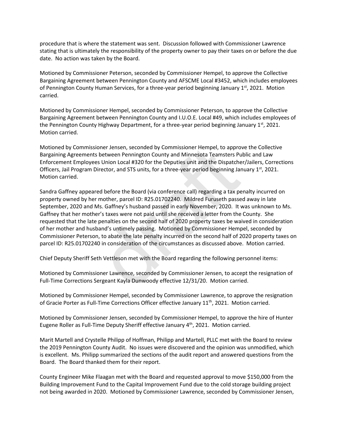procedure that is where the statement was sent. Discussion followed with Commissioner Lawrence stating that is ultimately the responsibility of the property owner to pay their taxes on or before the due date. No action was taken by the Board.

Motioned by Commissioner Peterson, seconded by Commissioner Hempel, to approve the Collective Bargaining Agreement between Pennington County and AFSCME Local #3452, which includes employees of Pennington County Human Services, for a three-year period beginning January  $1<sup>st</sup>$ , 2021. Motion carried.

Motioned by Commissioner Hempel, seconded by Commissioner Peterson, to approve the Collective Bargaining Agreement between Pennington County and I.U.O.E. Local #49, which includes employees of the Pennington County Highway Department, for a three-year period beginning January  $1<sup>st</sup>$ , 2021. Motion carried.

Motioned by Commissioner Jensen, seconded by Commissioner Hempel, to approve the Collective Bargaining Agreements between Pennington County and Minnesota Teamsters Public and Law Enforcement Employees Union Local #320 for the Deputies unit and the Dispatcher/Jailers, Corrections Officers, Jail Program Director, and STS units, for a three-year period beginning January  $1<sup>st</sup>$ , 2021. Motion carried.

Sandra Gaffney appeared before the Board (via conference call) regarding a tax penalty incurred on property owned by her mother, parcel ID: R25.01702240. Mildred Furuseth passed away in late September, 2020 and Ms. Gaffney's husband passed in early November, 2020. It was unknown to Ms. Gaffney that her mother's taxes were not paid until she received a letter from the County. She requested that the late penalties on the second half of 2020 property taxes be waived in consideration of her mother and husband's untimely passing. Motioned by Commissioner Hempel, seconded by Commissioner Peterson, to abate the late penalty incurred on the second half of 2020 property taxes on parcel ID: R25.01702240 in consideration of the circumstances as discussed above. Motion carried. ioner Jensen, seconded by Commissioner Hempel, to approse<br>Solution Pennington County and Minnesota Teamsters Pu<br>Solution Local #320 for the Deputies unit and the Dispatche<br>Director, and STS units, for a three-year period b

Chief Deputy Sheriff Seth Vettleson met with the Board regarding the following personnel items:

Motioned by Commissioner Lawrence, seconded by Commissioner Jensen, to accept the resignation of Full-Time Corrections Sergeant Kayla Dunwoody effective 12/31/20. Motion carried.

Motioned by Commissioner Hempel, seconded by Commissioner Lawrence, to approve the resignation of Gracie Porter as Full-Time Corrections Officer effective January 11<sup>th</sup>, 2021. Motion carried.

Motioned by Commissioner Jensen, seconded by Commissioner Hempel, to approve the hire of Hunter Eugene Roller as Full-Time Deputy Sheriff effective January  $4<sup>th</sup>$ , 2021. Motion carried.

Marit Martell and Crystelle Philipp of Hoffman, Philipp and Martell, PLLC met with the Board to review the 2019 Pennington County Audit. No issues were discovered and the opinion was unmodified, which is excellent. Ms. Philipp summarized the sections of the audit report and answered questions from the Board. The Board thanked them for their report.

County Engineer Mike Flaagan met with the Board and requested approval to move \$150,000 from the Building Improvement Fund to the Capital Improvement Fund due to the cold storage building project not being awarded in 2020. Motioned by Commissioner Lawrence, seconded by Commissioner Jensen,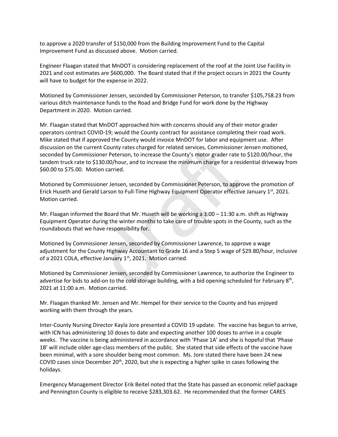to approve a 2020 transfer of \$150,000 from the Building Improvement Fund to the Capital Improvement Fund as discussed above. Motion carried.

Engineer Flaagan stated that MnDOT is considering replacement of the roof at the Joint Use Facility in 2021 and cost estimates are \$600,000. The Board stated that if the project occurs in 2021 the County will have to budget for the expense in 2022.

Motioned by Commissioner Jensen, seconded by Commissioner Peterson, to transfer \$105,758.23 from various ditch maintenance funds to the Road and Bridge Fund for work done by the Highway Department in 2020. Motion carried.

Mr. Flaagan stated that MnDOT approached him with concerns should any of their motor grader operators contract COVID-19; would the County contract for assistance completing their road work. Mike stated that if approved the County would invoice MnDOT for labor and equipment use. After discussion on the current County rates charged for related services, Commissioner Jensen motioned, seconded by Commissioner Peterson, to increase the County's motor grader rate to \$120.00/hour, the tandem truck rate to \$130.00/hour, and to increase the minimum charge for a residential driveway from \$60.00 to \$75.00. Motion carried. ent County rates charged for related services, Commissioner<br>oner Peterson, to increase the County's motor grader rate t<br>130.00/hour, and to increase the minimum charge for a res<br>ion carried.<br>ioner Jensen, seconded by Commi

Motioned by Commissioner Jensen, seconded by Commissioner Peterson, to approve the promotion of Erick Huseth and Gerald Larson to Full-Time Highway Equipment Operator effective January  $1<sup>st</sup>$ , 2021. Motion carried.

Mr. Flaagan informed the Board that Mr. Huseth will be working a 3:00 – 11:30 a.m. shift as Highway Equipment Operator during the winter months to take care of trouble spots in the County, such as the roundabouts that we have responsibility for.

Motioned by Commissioner Jensen, seconded by Commissioner Lawrence, to approve a wage adjustment for the County Highway Accountant to Grade 16 and a Step 5 wage of \$29.80/hour, inclusive of a 2021 COLA, effective January 1<sup>st</sup>, 2021. Motion carried.

Motioned by Commissioner Jensen, seconded by Commissioner Lawrence, to authorize the Engineer to advertise for bids to add-on to the cold storage building, with a bid opening scheduled for February 8<sup>th</sup>, 2021 at 11:00 a.m. Motion carried.

Mr. Flaagan thanked Mr. Jensen and Mr. Hempel for their service to the County and has enjoyed working with them through the years.

Inter-County Nursing Director Kayla Jore presented a COVID 19 update. The vaccine has begun to arrive, with ICN has administering 10 doses to date and expecting another 100 doses to arrive in a couple weeks. The vaccine is being administered in accordance with 'Phase 1A' and she is hopeful that 'Phase 1B' will include older age-class members of the public. She stated that side effects of the vaccine have been minimal, with a sore shoulder being most common. Ms. Jore stated there have been 24 new COVID cases since December  $20<sup>th</sup>$ , 2020, but she is expecting a higher spike in cases following the holidays.

Emergency Management Director Erik Beitel noted that the State has passed an economic relief package and Pennington County is eligible to receive \$283,303.62. He recommended that the former CARES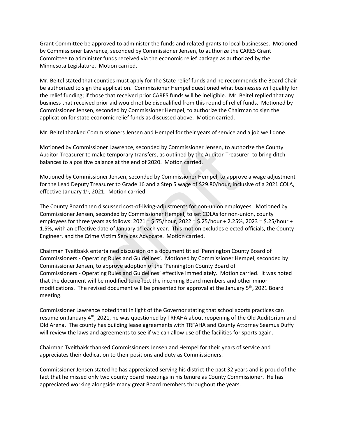Grant Committee be approved to administer the funds and related grants to local businesses. Motioned by Commissioner Lawrence, seconded by Commissioner Jensen, to authorize the CARES Grant Committee to administer funds received via the economic relief package as authorized by the Minnesota Legislature. Motion carried.

Mr. Beitel stated that counties must apply for the State relief funds and he recommends the Board Chair be authorized to sign the application. Commissioner Hempel questioned what businesses will qualify for the relief funding; if those that received prior CARES funds will be ineligible. Mr. Beitel replied that any business that received prior aid would not be disqualified from this round of relief funds. Motioned by Commissioner Jensen, seconded by Commissioner Hempel, to authorize the Chairman to sign the application for state economic relief funds as discussed above. Motion carried.

Mr. Beitel thanked Commissioners Jensen and Hempel for their years of service and a job well done.

Motioned by Commissioner Lawrence, seconded by Commissioner Jensen, to authorize the County Auditor-Treasurer to make temporary transfers, as outlined by the Auditor-Treasurer, to bring ditch balances to a positive balance at the end of 2020. Motion carried.

Motioned by Commissioner Jensen, seconded by Commissioner Hempel, to approve a wage adjustment for the Lead Deputy Treasurer to Grade 16 and a Step 5 wage of \$29.80/hour, inclusive of a 2021 COLA, effective January 1<sup>st</sup>, 2021. Motion carried.

The County Board then discussed cost-of-living-adjustments for non-union employees. Motioned by Commissioner Jensen, seconded by Commissioner Hempel, to set COLAs for non-union, county employees for three years as follows: 2021 = \$.75/hour, 2022 = \$.25/hour + 2.25%, 2023 = \$.25/hour + 1.5%, with an effective date of January  $1<sup>st</sup>$  each year. This motion excludes elected officials, the County Engineer, and the Crime Victim Services Advocate. Motion carried.

Chairman Tveitbakk entertained discussion on a document titled 'Pennington County Board of Commissioners - Operating Rules and Guidelines'. Motioned by Commissioner Hempel, seconded by Commissioner Jensen, to approve adoption of the 'Pennington County Board of Commissioners - Operating Rules and Guidelines' effective immediately. Motion carried. It was noted that the document will be modified to reflect the incoming Board members and other minor modifications. The revised document will be presented for approval at the January 5<sup>th</sup>, 2021 Board meeting. ioner Lawrence, seconded by Commissioner Jensen, to auth<br>ake temporary transfers, as outlined by the Auditor-Treasu<br>balance at the end of 2020. Motion carried.<br>ioner Jensen, seconded by Commissioner Hempel, to appro<br>easure

Commissioner Lawrence noted that in light of the Governor stating that school sports practices can resume on January 4<sup>th</sup>, 2021, he was questioned by TRFAHA about reopening of the Old Auditorium and Old Arena. The county has building lease agreements with TRFAHA and County Attorney Seamus Duffy will review the laws and agreements to see if we can allow use of the facilities for sports again.

Chairman Tveitbakk thanked Commissioners Jensen and Hempel for their years of service and appreciates their dedication to their positions and duty as Commissioners.

Commissioner Jensen stated he has appreciated serving his district the past 32 years and is proud of the fact that he missed only two county board meetings in his tenure as County Commissioner. He has appreciated working alongside many great Board members throughout the years.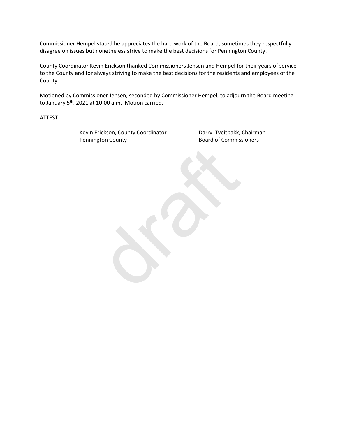Commissioner Hempel stated he appreciates the hard work of the Board; sometimes they respectfully disagree on issues but nonetheless strive to make the best decisions for Pennington County.

County Coordinator Kevin Erickson thanked Commissioners Jensen and Hempel for their years of service to the County and for always striving to make the best decisions for the residents and employees of the County.

Motioned by Commissioner Jensen, seconded by Commissioner Hempel, to adjourn the Board meeting to January 5<sup>th</sup>, 2021 at 10:00 a.m. Motion carried.

draft

ATTEST:

Kevin Erickson, County Coordinator **Darryl Tveitbakk, Chairman** Pennington County **Board of Commissioners**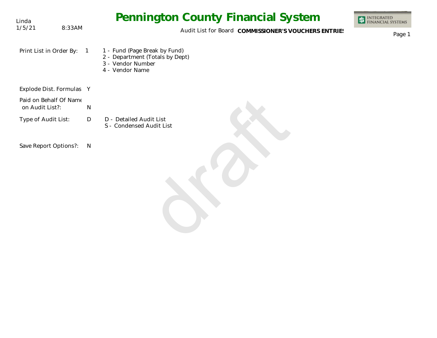| Linda                                     |            | <b>Pennington County Financial System</b>                                                                | INTEGRATED<br>FINANCIAL SYSTEMS |
|-------------------------------------------|------------|----------------------------------------------------------------------------------------------------------|---------------------------------|
| 1/5/21                                    | 8:33AM     | Audit List for Board COMMISSIONER'S VOUCHERS ENTRIES                                                     | Page 1                          |
| Print List in Order By:                   | $\sqrt{1}$ | 1 - Fund (Page Break by Fund)<br>2 - Department (Totals by Dept)<br>3 - Vendor Number<br>4 - Vendor Name |                                 |
| Explode Dist. Formulas Y                  |            |                                                                                                          |                                 |
| Paid on Behalf Of Name<br>on Audit List?: |            | $\mathsf{N}$                                                                                             |                                 |
| Type of Audit List:                       |            | D - Detailed Audit List<br>D<br>S - Condensed Audit List                                                 |                                 |
| Save Report Options?:                     |            | $\overline{N}$                                                                                           |                                 |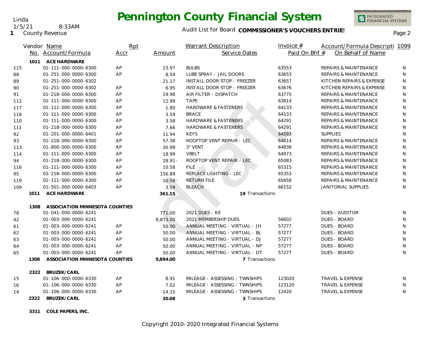

**1** County Revenue 1/5/21 8:33AM

Linda

#### Audit List for Board COMMISSIONER'S VOUCHERS ENTRIES<br>Page 2

| Paid On Bhf #<br>Service Dates<br>On Behalf of Name<br>No. Account/Formula<br>Accr<br>Amount<br><b>ACE HARDWARE</b><br>1011<br>01-111-000-0000-6300<br>AP<br><b>BULBS</b><br>63553<br><b>REPAIRS &amp; MAINTENANCE</b><br>115<br>23.97<br>N<br>AP<br>63653<br>01-251-000-0000-6300<br>8.59<br>LUBE SPRAY - JAIL DOORS<br><b>REPAIRS &amp; MAINTENANCE</b><br>N<br>88<br>01-251-000-0000-6302<br>INSTALL DOOR STOP - FREEZER<br>63657<br>KITCHEN REPAIRS & EXPENSE<br>89<br>21.17<br>N<br>01-251-000-0000-6302<br>AP<br>6.95<br>INSTALL DOOR STOP - FREEZER<br>63676<br>KITCHEN REPAIRS & EXPENSE<br>N<br>90<br>AP<br>AIR FILTER - DISPATCH<br>63775<br>N<br>91<br>01-218-000-0000-6300<br>19.98<br><b>REPAIRS &amp; MAINTENANCE</b><br><b>TAPE</b><br>01-111-000-0000-6300<br>AP<br>12.99<br>63814<br><b>REPAIRS &amp; MAINTENANCE</b><br>N<br>112<br><b>HARDWARE &amp; FASTENERS</b><br>N<br>01-111-000-0000-6300<br>AP<br>1.80<br>64133<br><b>REPAIRS &amp; MAINTENANCE</b><br>117<br>01-111-000-0000-6300<br>AP<br><b>BRACE</b><br>64133<br>N<br>3.59<br><b>REPAIRS &amp; MAINTENANCE</b><br>118<br>AP<br><b>HARDWARE &amp; FASTENERS</b><br>64291<br>01-111-000-0000-6300<br>3.58<br><b>REPAIRS &amp; MAINTENANCE</b><br>N<br>110<br>64291<br>N<br>01-218-000-0000-6300<br>AP<br>7.66<br><b>HARDWARE &amp; FASTENERS</b><br><b>REPAIRS &amp; MAINTENANCE</b><br>111<br>64593<br><b>SUPPLIES</b><br>01-201-000-0000-6401<br>AP<br>11.94<br><b>KEYS</b><br>N<br>92<br>ROOFTOP VENT REPAIR - LEC<br>64614<br><b>REPAIRS &amp; MAINTENANCE</b><br>01-218-000-0000-6300<br>AP<br>57.38<br>N<br>93<br>64838<br>N<br>01-800-000-0000-6300<br>AP<br>30.99<br>3" VENT<br><b>REPAIRS &amp; MAINTENANCE</b><br>113<br>64973<br>01-111-000-0000-6300<br>AP<br><b>VBELT</b><br>N<br>18.99<br><b>REPAIRS &amp; MAINTENANCE</b><br>114<br>AP<br>ROOFTOP VENT REPAIR - LEC<br>65083<br>94<br>01-218-000-0000-6300<br>$28.91 -$<br><b>REPAIRS &amp; MAINTENANCE</b><br>N<br>65315<br>$\mathsf{N}$<br>01-111-000-0000-6300<br>AP<br>10.58<br><b>FILE</b><br><b>REPAIRS &amp; MAINTENANCE</b><br>116<br>01-218-000-0000-6300<br>AP<br>156.89<br>REPLACE LIGHTING - LEC<br>65353<br>N<br>95<br>REPAIRS & MAINTENANCE<br><b>RETURN FILE</b><br>65658<br>01-111-000-0000-6300<br>AP<br>$10.58 -$<br><b>REPAIRS &amp; MAINTENANCE</b><br>N<br>119<br>01-501-000-0000-6403<br>AP<br><b>BLEACH</b><br>66152<br>N<br>109<br>3.59<br><b>JANITORIAL SUPPLIES</b><br>1011<br>ACE HARDWARE<br>19 Transactions<br>361.15<br>ASSOCIATION MINNESOTA COUNTIES<br>1308<br>78<br>2021 DUES - KE<br><b>DUES - AUDITOR</b><br>01-041-000-0000-6241<br>771.00<br>N<br>2021 MEMBERSHIP DUES<br>56602<br><b>DUES - BOARD</b><br>01-003-000-0000-6241<br>8,873.00<br>N<br>42<br>57277<br>01-003-000-0000-6241<br>ANNUAL MEETING - VIRTUAL - JH<br><b>DUES - BOARD</b><br>N<br>AP<br>50.00<br>61<br>AP<br>57277<br>DUES - BOARD<br>01-003-000-0000-6241<br>ANNUAL MEETING - VIRTUAL - BL<br>N<br>50.00<br>62<br>01-003-000-0000-6241<br>AP<br>ANNUAL MEETING - VIRTUAL - DJ<br>57277<br><b>DUES - BOARD</b><br>N<br>63<br>50.00<br>01-003-000-0000-6241<br>AP<br>50.00<br>ANNUAL MEETING - VIRTUAL - NP<br>57277<br><b>DUES - BOARD</b><br>N<br>64<br>01-003-000-0000-6241<br>AP<br>ANNUAL MEETING - VIRTUAL - DT<br>57277<br><b>DUES - BOARD</b><br>50.00<br>N<br>65<br>ASSOCIATION MINNESOTA COUNTIES<br>7 Transactions<br>1308<br>9,894.00<br>BRUZEK/CARL<br>2322<br>MILEAGE - ASSESSING - TWNSHIPS<br>123020<br>01-106-000-0000-6330<br>AP<br>8.91<br>TRAVEL & EXPENSE<br>15<br>N<br>MILEAGE - ASSESSING - TWNSHIPS<br>01-106-000-0000-6330<br>AP<br>123120<br><b>TRAVEL &amp; EXPENSE</b><br>7.02<br>N<br>16<br>01-106-000-0000-6330<br>AP<br>MILEAGE - ASSESSING - TWNSHIPS<br>12420<br>N<br>14.15<br><b>TRAVEL &amp; EXPENSE</b><br>14<br>BRUZEK/CARL<br>2322<br>30.08<br>3 Transactions |  | Vendor Name | Rpt | <b>Warrant Description</b> | Invoice $#$ | Account/Formula Descripti 1099 |  |
|----------------------------------------------------------------------------------------------------------------------------------------------------------------------------------------------------------------------------------------------------------------------------------------------------------------------------------------------------------------------------------------------------------------------------------------------------------------------------------------------------------------------------------------------------------------------------------------------------------------------------------------------------------------------------------------------------------------------------------------------------------------------------------------------------------------------------------------------------------------------------------------------------------------------------------------------------------------------------------------------------------------------------------------------------------------------------------------------------------------------------------------------------------------------------------------------------------------------------------------------------------------------------------------------------------------------------------------------------------------------------------------------------------------------------------------------------------------------------------------------------------------------------------------------------------------------------------------------------------------------------------------------------------------------------------------------------------------------------------------------------------------------------------------------------------------------------------------------------------------------------------------------------------------------------------------------------------------------------------------------------------------------------------------------------------------------------------------------------------------------------------------------------------------------------------------------------------------------------------------------------------------------------------------------------------------------------------------------------------------------------------------------------------------------------------------------------------------------------------------------------------------------------------------------------------------------------------------------------------------------------------------------------------------------------------------------------------------------------------------------------------------------------------------------------------------------------------------------------------------------------------------------------------------------------------------------------------------------------------------------------------------------------------------------------------------------------------------------------------------------------------------------------------------------------------------------------------------------------------------------------------------------------------------------------------------------------------------------------------------------------------------------------------------------------------------------------------------------------------------------------------------------------------------------------------------------------------------------------------------------------------------------------------------------------------------------------------------------------------------------------------------------------------------------------------------------------------------------------------|--|-------------|-----|----------------------------|-------------|--------------------------------|--|
|                                                                                                                                                                                                                                                                                                                                                                                                                                                                                                                                                                                                                                                                                                                                                                                                                                                                                                                                                                                                                                                                                                                                                                                                                                                                                                                                                                                                                                                                                                                                                                                                                                                                                                                                                                                                                                                                                                                                                                                                                                                                                                                                                                                                                                                                                                                                                                                                                                                                                                                                                                                                                                                                                                                                                                                                                                                                                                                                                                                                                                                                                                                                                                                                                                                                                                                                                                                                                                                                                                                                                                                                                                                                                                                                                                                                                                                          |  |             |     |                            |             |                                |  |
|                                                                                                                                                                                                                                                                                                                                                                                                                                                                                                                                                                                                                                                                                                                                                                                                                                                                                                                                                                                                                                                                                                                                                                                                                                                                                                                                                                                                                                                                                                                                                                                                                                                                                                                                                                                                                                                                                                                                                                                                                                                                                                                                                                                                                                                                                                                                                                                                                                                                                                                                                                                                                                                                                                                                                                                                                                                                                                                                                                                                                                                                                                                                                                                                                                                                                                                                                                                                                                                                                                                                                                                                                                                                                                                                                                                                                                                          |  |             |     |                            |             |                                |  |
|                                                                                                                                                                                                                                                                                                                                                                                                                                                                                                                                                                                                                                                                                                                                                                                                                                                                                                                                                                                                                                                                                                                                                                                                                                                                                                                                                                                                                                                                                                                                                                                                                                                                                                                                                                                                                                                                                                                                                                                                                                                                                                                                                                                                                                                                                                                                                                                                                                                                                                                                                                                                                                                                                                                                                                                                                                                                                                                                                                                                                                                                                                                                                                                                                                                                                                                                                                                                                                                                                                                                                                                                                                                                                                                                                                                                                                                          |  |             |     |                            |             |                                |  |
|                                                                                                                                                                                                                                                                                                                                                                                                                                                                                                                                                                                                                                                                                                                                                                                                                                                                                                                                                                                                                                                                                                                                                                                                                                                                                                                                                                                                                                                                                                                                                                                                                                                                                                                                                                                                                                                                                                                                                                                                                                                                                                                                                                                                                                                                                                                                                                                                                                                                                                                                                                                                                                                                                                                                                                                                                                                                                                                                                                                                                                                                                                                                                                                                                                                                                                                                                                                                                                                                                                                                                                                                                                                                                                                                                                                                                                                          |  |             |     |                            |             |                                |  |
|                                                                                                                                                                                                                                                                                                                                                                                                                                                                                                                                                                                                                                                                                                                                                                                                                                                                                                                                                                                                                                                                                                                                                                                                                                                                                                                                                                                                                                                                                                                                                                                                                                                                                                                                                                                                                                                                                                                                                                                                                                                                                                                                                                                                                                                                                                                                                                                                                                                                                                                                                                                                                                                                                                                                                                                                                                                                                                                                                                                                                                                                                                                                                                                                                                                                                                                                                                                                                                                                                                                                                                                                                                                                                                                                                                                                                                                          |  |             |     |                            |             |                                |  |
|                                                                                                                                                                                                                                                                                                                                                                                                                                                                                                                                                                                                                                                                                                                                                                                                                                                                                                                                                                                                                                                                                                                                                                                                                                                                                                                                                                                                                                                                                                                                                                                                                                                                                                                                                                                                                                                                                                                                                                                                                                                                                                                                                                                                                                                                                                                                                                                                                                                                                                                                                                                                                                                                                                                                                                                                                                                                                                                                                                                                                                                                                                                                                                                                                                                                                                                                                                                                                                                                                                                                                                                                                                                                                                                                                                                                                                                          |  |             |     |                            |             |                                |  |
|                                                                                                                                                                                                                                                                                                                                                                                                                                                                                                                                                                                                                                                                                                                                                                                                                                                                                                                                                                                                                                                                                                                                                                                                                                                                                                                                                                                                                                                                                                                                                                                                                                                                                                                                                                                                                                                                                                                                                                                                                                                                                                                                                                                                                                                                                                                                                                                                                                                                                                                                                                                                                                                                                                                                                                                                                                                                                                                                                                                                                                                                                                                                                                                                                                                                                                                                                                                                                                                                                                                                                                                                                                                                                                                                                                                                                                                          |  |             |     |                            |             |                                |  |
|                                                                                                                                                                                                                                                                                                                                                                                                                                                                                                                                                                                                                                                                                                                                                                                                                                                                                                                                                                                                                                                                                                                                                                                                                                                                                                                                                                                                                                                                                                                                                                                                                                                                                                                                                                                                                                                                                                                                                                                                                                                                                                                                                                                                                                                                                                                                                                                                                                                                                                                                                                                                                                                                                                                                                                                                                                                                                                                                                                                                                                                                                                                                                                                                                                                                                                                                                                                                                                                                                                                                                                                                                                                                                                                                                                                                                                                          |  |             |     |                            |             |                                |  |
|                                                                                                                                                                                                                                                                                                                                                                                                                                                                                                                                                                                                                                                                                                                                                                                                                                                                                                                                                                                                                                                                                                                                                                                                                                                                                                                                                                                                                                                                                                                                                                                                                                                                                                                                                                                                                                                                                                                                                                                                                                                                                                                                                                                                                                                                                                                                                                                                                                                                                                                                                                                                                                                                                                                                                                                                                                                                                                                                                                                                                                                                                                                                                                                                                                                                                                                                                                                                                                                                                                                                                                                                                                                                                                                                                                                                                                                          |  |             |     |                            |             |                                |  |
|                                                                                                                                                                                                                                                                                                                                                                                                                                                                                                                                                                                                                                                                                                                                                                                                                                                                                                                                                                                                                                                                                                                                                                                                                                                                                                                                                                                                                                                                                                                                                                                                                                                                                                                                                                                                                                                                                                                                                                                                                                                                                                                                                                                                                                                                                                                                                                                                                                                                                                                                                                                                                                                                                                                                                                                                                                                                                                                                                                                                                                                                                                                                                                                                                                                                                                                                                                                                                                                                                                                                                                                                                                                                                                                                                                                                                                                          |  |             |     |                            |             |                                |  |
|                                                                                                                                                                                                                                                                                                                                                                                                                                                                                                                                                                                                                                                                                                                                                                                                                                                                                                                                                                                                                                                                                                                                                                                                                                                                                                                                                                                                                                                                                                                                                                                                                                                                                                                                                                                                                                                                                                                                                                                                                                                                                                                                                                                                                                                                                                                                                                                                                                                                                                                                                                                                                                                                                                                                                                                                                                                                                                                                                                                                                                                                                                                                                                                                                                                                                                                                                                                                                                                                                                                                                                                                                                                                                                                                                                                                                                                          |  |             |     |                            |             |                                |  |
|                                                                                                                                                                                                                                                                                                                                                                                                                                                                                                                                                                                                                                                                                                                                                                                                                                                                                                                                                                                                                                                                                                                                                                                                                                                                                                                                                                                                                                                                                                                                                                                                                                                                                                                                                                                                                                                                                                                                                                                                                                                                                                                                                                                                                                                                                                                                                                                                                                                                                                                                                                                                                                                                                                                                                                                                                                                                                                                                                                                                                                                                                                                                                                                                                                                                                                                                                                                                                                                                                                                                                                                                                                                                                                                                                                                                                                                          |  |             |     |                            |             |                                |  |
|                                                                                                                                                                                                                                                                                                                                                                                                                                                                                                                                                                                                                                                                                                                                                                                                                                                                                                                                                                                                                                                                                                                                                                                                                                                                                                                                                                                                                                                                                                                                                                                                                                                                                                                                                                                                                                                                                                                                                                                                                                                                                                                                                                                                                                                                                                                                                                                                                                                                                                                                                                                                                                                                                                                                                                                                                                                                                                                                                                                                                                                                                                                                                                                                                                                                                                                                                                                                                                                                                                                                                                                                                                                                                                                                                                                                                                                          |  |             |     |                            |             |                                |  |
|                                                                                                                                                                                                                                                                                                                                                                                                                                                                                                                                                                                                                                                                                                                                                                                                                                                                                                                                                                                                                                                                                                                                                                                                                                                                                                                                                                                                                                                                                                                                                                                                                                                                                                                                                                                                                                                                                                                                                                                                                                                                                                                                                                                                                                                                                                                                                                                                                                                                                                                                                                                                                                                                                                                                                                                                                                                                                                                                                                                                                                                                                                                                                                                                                                                                                                                                                                                                                                                                                                                                                                                                                                                                                                                                                                                                                                                          |  |             |     |                            |             |                                |  |
|                                                                                                                                                                                                                                                                                                                                                                                                                                                                                                                                                                                                                                                                                                                                                                                                                                                                                                                                                                                                                                                                                                                                                                                                                                                                                                                                                                                                                                                                                                                                                                                                                                                                                                                                                                                                                                                                                                                                                                                                                                                                                                                                                                                                                                                                                                                                                                                                                                                                                                                                                                                                                                                                                                                                                                                                                                                                                                                                                                                                                                                                                                                                                                                                                                                                                                                                                                                                                                                                                                                                                                                                                                                                                                                                                                                                                                                          |  |             |     |                            |             |                                |  |
|                                                                                                                                                                                                                                                                                                                                                                                                                                                                                                                                                                                                                                                                                                                                                                                                                                                                                                                                                                                                                                                                                                                                                                                                                                                                                                                                                                                                                                                                                                                                                                                                                                                                                                                                                                                                                                                                                                                                                                                                                                                                                                                                                                                                                                                                                                                                                                                                                                                                                                                                                                                                                                                                                                                                                                                                                                                                                                                                                                                                                                                                                                                                                                                                                                                                                                                                                                                                                                                                                                                                                                                                                                                                                                                                                                                                                                                          |  |             |     |                            |             |                                |  |
|                                                                                                                                                                                                                                                                                                                                                                                                                                                                                                                                                                                                                                                                                                                                                                                                                                                                                                                                                                                                                                                                                                                                                                                                                                                                                                                                                                                                                                                                                                                                                                                                                                                                                                                                                                                                                                                                                                                                                                                                                                                                                                                                                                                                                                                                                                                                                                                                                                                                                                                                                                                                                                                                                                                                                                                                                                                                                                                                                                                                                                                                                                                                                                                                                                                                                                                                                                                                                                                                                                                                                                                                                                                                                                                                                                                                                                                          |  |             |     |                            |             |                                |  |
|                                                                                                                                                                                                                                                                                                                                                                                                                                                                                                                                                                                                                                                                                                                                                                                                                                                                                                                                                                                                                                                                                                                                                                                                                                                                                                                                                                                                                                                                                                                                                                                                                                                                                                                                                                                                                                                                                                                                                                                                                                                                                                                                                                                                                                                                                                                                                                                                                                                                                                                                                                                                                                                                                                                                                                                                                                                                                                                                                                                                                                                                                                                                                                                                                                                                                                                                                                                                                                                                                                                                                                                                                                                                                                                                                                                                                                                          |  |             |     |                            |             |                                |  |
|                                                                                                                                                                                                                                                                                                                                                                                                                                                                                                                                                                                                                                                                                                                                                                                                                                                                                                                                                                                                                                                                                                                                                                                                                                                                                                                                                                                                                                                                                                                                                                                                                                                                                                                                                                                                                                                                                                                                                                                                                                                                                                                                                                                                                                                                                                                                                                                                                                                                                                                                                                                                                                                                                                                                                                                                                                                                                                                                                                                                                                                                                                                                                                                                                                                                                                                                                                                                                                                                                                                                                                                                                                                                                                                                                                                                                                                          |  |             |     |                            |             |                                |  |
|                                                                                                                                                                                                                                                                                                                                                                                                                                                                                                                                                                                                                                                                                                                                                                                                                                                                                                                                                                                                                                                                                                                                                                                                                                                                                                                                                                                                                                                                                                                                                                                                                                                                                                                                                                                                                                                                                                                                                                                                                                                                                                                                                                                                                                                                                                                                                                                                                                                                                                                                                                                                                                                                                                                                                                                                                                                                                                                                                                                                                                                                                                                                                                                                                                                                                                                                                                                                                                                                                                                                                                                                                                                                                                                                                                                                                                                          |  |             |     |                            |             |                                |  |
|                                                                                                                                                                                                                                                                                                                                                                                                                                                                                                                                                                                                                                                                                                                                                                                                                                                                                                                                                                                                                                                                                                                                                                                                                                                                                                                                                                                                                                                                                                                                                                                                                                                                                                                                                                                                                                                                                                                                                                                                                                                                                                                                                                                                                                                                                                                                                                                                                                                                                                                                                                                                                                                                                                                                                                                                                                                                                                                                                                                                                                                                                                                                                                                                                                                                                                                                                                                                                                                                                                                                                                                                                                                                                                                                                                                                                                                          |  |             |     |                            |             |                                |  |
|                                                                                                                                                                                                                                                                                                                                                                                                                                                                                                                                                                                                                                                                                                                                                                                                                                                                                                                                                                                                                                                                                                                                                                                                                                                                                                                                                                                                                                                                                                                                                                                                                                                                                                                                                                                                                                                                                                                                                                                                                                                                                                                                                                                                                                                                                                                                                                                                                                                                                                                                                                                                                                                                                                                                                                                                                                                                                                                                                                                                                                                                                                                                                                                                                                                                                                                                                                                                                                                                                                                                                                                                                                                                                                                                                                                                                                                          |  |             |     |                            |             |                                |  |
|                                                                                                                                                                                                                                                                                                                                                                                                                                                                                                                                                                                                                                                                                                                                                                                                                                                                                                                                                                                                                                                                                                                                                                                                                                                                                                                                                                                                                                                                                                                                                                                                                                                                                                                                                                                                                                                                                                                                                                                                                                                                                                                                                                                                                                                                                                                                                                                                                                                                                                                                                                                                                                                                                                                                                                                                                                                                                                                                                                                                                                                                                                                                                                                                                                                                                                                                                                                                                                                                                                                                                                                                                                                                                                                                                                                                                                                          |  |             |     |                            |             |                                |  |
|                                                                                                                                                                                                                                                                                                                                                                                                                                                                                                                                                                                                                                                                                                                                                                                                                                                                                                                                                                                                                                                                                                                                                                                                                                                                                                                                                                                                                                                                                                                                                                                                                                                                                                                                                                                                                                                                                                                                                                                                                                                                                                                                                                                                                                                                                                                                                                                                                                                                                                                                                                                                                                                                                                                                                                                                                                                                                                                                                                                                                                                                                                                                                                                                                                                                                                                                                                                                                                                                                                                                                                                                                                                                                                                                                                                                                                                          |  |             |     |                            |             |                                |  |
|                                                                                                                                                                                                                                                                                                                                                                                                                                                                                                                                                                                                                                                                                                                                                                                                                                                                                                                                                                                                                                                                                                                                                                                                                                                                                                                                                                                                                                                                                                                                                                                                                                                                                                                                                                                                                                                                                                                                                                                                                                                                                                                                                                                                                                                                                                                                                                                                                                                                                                                                                                                                                                                                                                                                                                                                                                                                                                                                                                                                                                                                                                                                                                                                                                                                                                                                                                                                                                                                                                                                                                                                                                                                                                                                                                                                                                                          |  |             |     |                            |             |                                |  |
|                                                                                                                                                                                                                                                                                                                                                                                                                                                                                                                                                                                                                                                                                                                                                                                                                                                                                                                                                                                                                                                                                                                                                                                                                                                                                                                                                                                                                                                                                                                                                                                                                                                                                                                                                                                                                                                                                                                                                                                                                                                                                                                                                                                                                                                                                                                                                                                                                                                                                                                                                                                                                                                                                                                                                                                                                                                                                                                                                                                                                                                                                                                                                                                                                                                                                                                                                                                                                                                                                                                                                                                                                                                                                                                                                                                                                                                          |  |             |     |                            |             |                                |  |
|                                                                                                                                                                                                                                                                                                                                                                                                                                                                                                                                                                                                                                                                                                                                                                                                                                                                                                                                                                                                                                                                                                                                                                                                                                                                                                                                                                                                                                                                                                                                                                                                                                                                                                                                                                                                                                                                                                                                                                                                                                                                                                                                                                                                                                                                                                                                                                                                                                                                                                                                                                                                                                                                                                                                                                                                                                                                                                                                                                                                                                                                                                                                                                                                                                                                                                                                                                                                                                                                                                                                                                                                                                                                                                                                                                                                                                                          |  |             |     |                            |             |                                |  |
|                                                                                                                                                                                                                                                                                                                                                                                                                                                                                                                                                                                                                                                                                                                                                                                                                                                                                                                                                                                                                                                                                                                                                                                                                                                                                                                                                                                                                                                                                                                                                                                                                                                                                                                                                                                                                                                                                                                                                                                                                                                                                                                                                                                                                                                                                                                                                                                                                                                                                                                                                                                                                                                                                                                                                                                                                                                                                                                                                                                                                                                                                                                                                                                                                                                                                                                                                                                                                                                                                                                                                                                                                                                                                                                                                                                                                                                          |  |             |     |                            |             |                                |  |
|                                                                                                                                                                                                                                                                                                                                                                                                                                                                                                                                                                                                                                                                                                                                                                                                                                                                                                                                                                                                                                                                                                                                                                                                                                                                                                                                                                                                                                                                                                                                                                                                                                                                                                                                                                                                                                                                                                                                                                                                                                                                                                                                                                                                                                                                                                                                                                                                                                                                                                                                                                                                                                                                                                                                                                                                                                                                                                                                                                                                                                                                                                                                                                                                                                                                                                                                                                                                                                                                                                                                                                                                                                                                                                                                                                                                                                                          |  |             |     |                            |             |                                |  |
|                                                                                                                                                                                                                                                                                                                                                                                                                                                                                                                                                                                                                                                                                                                                                                                                                                                                                                                                                                                                                                                                                                                                                                                                                                                                                                                                                                                                                                                                                                                                                                                                                                                                                                                                                                                                                                                                                                                                                                                                                                                                                                                                                                                                                                                                                                                                                                                                                                                                                                                                                                                                                                                                                                                                                                                                                                                                                                                                                                                                                                                                                                                                                                                                                                                                                                                                                                                                                                                                                                                                                                                                                                                                                                                                                                                                                                                          |  |             |     |                            |             |                                |  |
|                                                                                                                                                                                                                                                                                                                                                                                                                                                                                                                                                                                                                                                                                                                                                                                                                                                                                                                                                                                                                                                                                                                                                                                                                                                                                                                                                                                                                                                                                                                                                                                                                                                                                                                                                                                                                                                                                                                                                                                                                                                                                                                                                                                                                                                                                                                                                                                                                                                                                                                                                                                                                                                                                                                                                                                                                                                                                                                                                                                                                                                                                                                                                                                                                                                                                                                                                                                                                                                                                                                                                                                                                                                                                                                                                                                                                                                          |  |             |     |                            |             |                                |  |
|                                                                                                                                                                                                                                                                                                                                                                                                                                                                                                                                                                                                                                                                                                                                                                                                                                                                                                                                                                                                                                                                                                                                                                                                                                                                                                                                                                                                                                                                                                                                                                                                                                                                                                                                                                                                                                                                                                                                                                                                                                                                                                                                                                                                                                                                                                                                                                                                                                                                                                                                                                                                                                                                                                                                                                                                                                                                                                                                                                                                                                                                                                                                                                                                                                                                                                                                                                                                                                                                                                                                                                                                                                                                                                                                                                                                                                                          |  |             |     |                            |             |                                |  |
|                                                                                                                                                                                                                                                                                                                                                                                                                                                                                                                                                                                                                                                                                                                                                                                                                                                                                                                                                                                                                                                                                                                                                                                                                                                                                                                                                                                                                                                                                                                                                                                                                                                                                                                                                                                                                                                                                                                                                                                                                                                                                                                                                                                                                                                                                                                                                                                                                                                                                                                                                                                                                                                                                                                                                                                                                                                                                                                                                                                                                                                                                                                                                                                                                                                                                                                                                                                                                                                                                                                                                                                                                                                                                                                                                                                                                                                          |  |             |     |                            |             |                                |  |
|                                                                                                                                                                                                                                                                                                                                                                                                                                                                                                                                                                                                                                                                                                                                                                                                                                                                                                                                                                                                                                                                                                                                                                                                                                                                                                                                                                                                                                                                                                                                                                                                                                                                                                                                                                                                                                                                                                                                                                                                                                                                                                                                                                                                                                                                                                                                                                                                                                                                                                                                                                                                                                                                                                                                                                                                                                                                                                                                                                                                                                                                                                                                                                                                                                                                                                                                                                                                                                                                                                                                                                                                                                                                                                                                                                                                                                                          |  |             |     |                            |             |                                |  |
|                                                                                                                                                                                                                                                                                                                                                                                                                                                                                                                                                                                                                                                                                                                                                                                                                                                                                                                                                                                                                                                                                                                                                                                                                                                                                                                                                                                                                                                                                                                                                                                                                                                                                                                                                                                                                                                                                                                                                                                                                                                                                                                                                                                                                                                                                                                                                                                                                                                                                                                                                                                                                                                                                                                                                                                                                                                                                                                                                                                                                                                                                                                                                                                                                                                                                                                                                                                                                                                                                                                                                                                                                                                                                                                                                                                                                                                          |  |             |     |                            |             |                                |  |
|                                                                                                                                                                                                                                                                                                                                                                                                                                                                                                                                                                                                                                                                                                                                                                                                                                                                                                                                                                                                                                                                                                                                                                                                                                                                                                                                                                                                                                                                                                                                                                                                                                                                                                                                                                                                                                                                                                                                                                                                                                                                                                                                                                                                                                                                                                                                                                                                                                                                                                                                                                                                                                                                                                                                                                                                                                                                                                                                                                                                                                                                                                                                                                                                                                                                                                                                                                                                                                                                                                                                                                                                                                                                                                                                                                                                                                                          |  |             |     |                            |             |                                |  |

**3311 COLE PAPERS, INC.**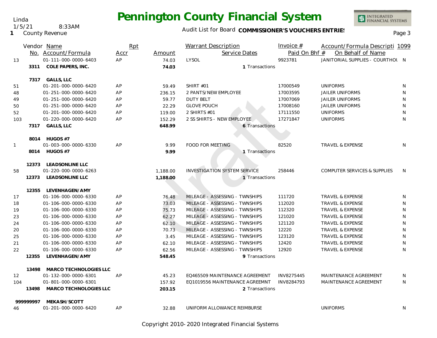### Audit List for Board COMMISSIONER'S VOUCHERS ENTRIES<br>Page 3

|              |          | Vendor Name                           | Rpt  |          | <b>Warrant Description</b>          | Invoice $#$   | Account/Formula Descripti 1099          |   |
|--------------|----------|---------------------------------------|------|----------|-------------------------------------|---------------|-----------------------------------------|---|
|              |          | No. Account/Formula                   | Accr | Amount   | Service Dates                       | Paid On Bhf # | On Behalf of Name                       |   |
| 13           |          | 01-111-000-0000-6403                  | AP   | 74.03    | LYSOL                               | 9923781       | JANITORIAL SUPPLIES - COURTHOL N        |   |
|              | 3311     | COLE PAPERS, INC.                     |      | 74.03    | 1 Transactions                      |               |                                         |   |
|              |          | 7317 GALLS, LLC                       |      |          |                                     |               |                                         |   |
| 51           |          | 01-201-000-0000-6420                  | AP   | 59.49    | SHIRT #01                           | 17000549      | <b>UNIFORMS</b>                         | N |
| 48           |          | 01-251-000-0000-6420                  | AP   | 236.15   | 2 PANTS/NEW EMPLOYEE                | 17003595      | <b>JAILER UNIFORMS</b>                  | N |
| 49           |          | 01-251-000-0000-6420                  | AP   | 59.77    | <b>DUTY BELT</b>                    | 17007069      | <b>JAILER UNIFORMS</b>                  | N |
| 50           |          | 01-251-000-0000-6420                  | AP   | 22.29    | <b>GLOVE POUCH</b>                  | 17008160      | <b>JAILER UNIFORMS</b>                  | N |
| 52           |          | 01-201-000-0000-6420                  | AP   | 119.00   | 2 SHIRTS #01                        | 17111550      | <b>UNIFORMS</b>                         | N |
| 103          |          | 01-220-000-0000-6420                  | AP   | 152.29   | 2 SS SHIRTS - NEW EMPLOYEE          | 17271847      | <b>UNIFORMS</b>                         | N |
|              | 7317     | <b>GALLS, LLC</b>                     |      | 648.99   | 6 Transactions                      |               |                                         |   |
|              |          |                                       |      |          |                                     |               |                                         |   |
|              |          | 8014 HUGOS #7<br>01-003-000-0000-6330 | AP   | 9.99     | <b>FOOD FOR MEETING</b>             |               | <b>TRAVEL &amp; EXPENSE</b>             | N |
| $\mathbf{1}$ |          |                                       |      |          |                                     | 82520         |                                         |   |
|              |          | 8014 HUGOS #7                         |      | 9.99     | 1 Transactions                      |               |                                         |   |
|              |          | 12373 LEADSONLINE LLC                 |      |          |                                     |               |                                         |   |
| 58           |          | 01-220-000-0000-6263                  |      | 1,188.00 | <b>INVESTIGATION SYSTEM SERVICE</b> | 258446        | <b>COMPUTER SERVICES &amp; SUPPLIES</b> | N |
|              | 12373    | <b>LEADSONLINE LLC</b>                |      | 1,188.00 | 1 Transactions                      |               |                                         |   |
|              | 12355    | LEVENHAGEN/AMY                        |      |          |                                     |               |                                         |   |
| 17           |          | 01-106-000-0000-6330                  | AP   | 76.48    | MILEAGE - ASSESSING - TWNSHIPS      | 111720        | <b>TRAVEL &amp; EXPENSE</b>             | N |
| 18           |          | 01-106-000-0000-6330                  | AP   | 73.03    | MILEAGE - ASSESSING - TWNSHIPS      | 112020        | <b>TRAVEL &amp; EXPENSE</b>             | N |
| 19           |          | 01-106-000-0000-6330                  | AP   | 75.73    | MILEAGE - ASSESSING - TWNSHIPS      | 112320        | <b>TRAVEL &amp; EXPENSE</b>             | N |
| 23           |          | 01-106-000-0000-6330                  | AP   | 62.27    | MILEAGE - ASSESSING - TWNSHIPS      | 121020        | <b>TRAVEL &amp; EXPENSE</b>             | N |
| 24           |          | 01-106-000-0000-6330                  | AP   | 62.10    | MILEAGE - ASSESSING - TWNSHIPS      | 121120        | <b>TRAVEL &amp; EXPENSE</b>             | N |
| 20           |          | 01-106-000-0000-6330                  | AP   | 70.73    | MILEAGE - ASSESSING - TWNSHIPS      | 12220         | <b>TRAVEL &amp; EXPENSE</b>             | N |
| 25           |          | 01-106-000-0000-6330                  | AP   | 3.45     | MILEAGE - ASSESSING - TWNSHIPS      | 123120        | <b>TRAVEL &amp; EXPENSE</b>             | N |
| 21           |          | 01-106-000-0000-6330                  | AP   | 62.10    | MILEAGE - ASSESSING - TWNSHIPS      | 12420         | <b>TRAVEL &amp; EXPENSE</b>             | N |
| 22           |          | 01-106-000-0000-6330                  | AP   | 62.56    | MILEAGE - ASSESSING - TWNSHIPS      | 12920         | <b>TRAVEL &amp; EXPENSE</b>             | N |
|              | 12355    | LEVENHAGEN/AMY                        |      | 548.45   | 9 Transactions                      |               |                                         |   |
|              | 13498    | MARCO TECHNOLOGIES LLC                |      |          |                                     |               |                                         |   |
| 12           |          | 01-132-000-0000-6301                  | AP   | 45.23    | EQ465509 MAINTENANCE AGREEMENT      | INV8275445    | MAINTENANCE AGREEMENT                   | N |
| 104          |          | 01-801-000-0000-6301                  |      | 157.92   | EQ1019556 MAINTENANCE AGREEMNT      | INV8284793    | MAINTENANCE AGREEMENT                   | N |
|              | 13498    | MARCO TECHNOLOGIES LLC                |      | 203.15   | 2 Transactions                      |               |                                         |   |
|              | 99999997 | MEKASH/SCOTT                          |      |          |                                     |               |                                         |   |
| 46           |          | 01-201-000-0000-6420                  | AP   | 32.88    | UNIFORM ALLOWANCE REIMBURSE         |               | <b>UNIFORMS</b>                         | N |
|              |          |                                       |      |          |                                     |               |                                         |   |

Copyright 2010-2020 Integrated Financial Systems

#### Linda

**1** County Revenue 1/5/21 8:33AM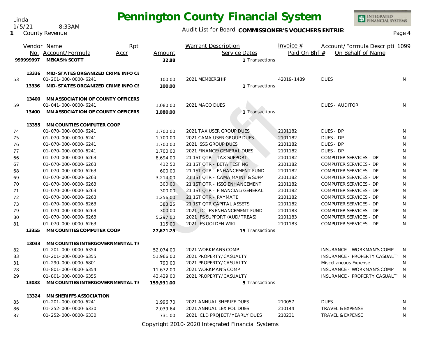Linda 1/5/21 8:33AM

**1** County Revenue

#### Audit List for Board COMMISSIONER'S VOUCHERS ENTRIES<br>Page 4

INTEGRATED<br>FINANCIAL SYSTEMS

|    |           | Vendor Name                              | Rpt  |            | <b>Warrant Description</b>     |                 | Invoice $#$   | Account/Formula Descripti 1099    |              |
|----|-----------|------------------------------------------|------|------------|--------------------------------|-----------------|---------------|-----------------------------------|--------------|
|    |           | No. Account/Formula                      | Accr | Amount     |                                | Service Dates   | Paid On Bhf # | On Behalf of Name                 |              |
|    | 999999997 | MEKASH/SCOTT                             |      | 32.88      |                                | 1 Transactions  |               |                                   |              |
|    |           |                                          |      |            |                                |                 |               |                                   |              |
|    |           | 13336 MID-STATES ORGANIZED CRIME INFO CE |      |            |                                |                 |               |                                   |              |
| 53 |           | 01-201-000-0000-6241                     |      | 100.00     | 2021 MEMBERSHIP                |                 | 42019-1489    | <b>DUES</b>                       | N            |
|    | 13336     | MID-STATES ORGANIZED CRIME INFO CE       |      | 100.00     |                                | 1 Transactions  |               |                                   |              |
|    | 13400     | MN ASSOCIATION OF COUNTY OFFICERS        |      |            |                                |                 |               |                                   |              |
| 59 |           | 01-041-000-0000-6241                     |      | 1,080.00   | 2021 MACO DUES                 |                 |               | <b>DUES - AUDITOR</b>             | N            |
|    | 13400     | MN ASSOCIATION OF COUNTY OFFICERS        |      | 1,080.00   |                                | 1 Transactions  |               |                                   |              |
|    |           |                                          |      |            |                                |                 |               |                                   |              |
|    | 13355     | MN COUNTIES COMPUTER COOP                |      |            |                                |                 |               |                                   |              |
| 74 |           | 01-070-000-0000-6241                     |      | 1,700.00   | 2021 TAX USER GROUP DUES       |                 | 2101182       | DUES - DP                         | N            |
| 75 |           | 01-070-000-0000-6241                     |      | 1,700.00   | 2021 CAMA USER GROUP DUES      |                 | 2101182       | DUES - DP                         | N            |
| 76 |           | 01-070-000-0000-6241                     |      | 1,700.00   | 2021 ISSG GROUP DUES           |                 | 2101182       | DUES - DP                         | N            |
| 77 |           | 01-070-000-0000-6241                     |      | 1,700.00   | 2021 FINANCE/GENERAL DUES      |                 | 2101182       | DUES - DP                         | N            |
| 66 |           | 01-070-000-0000-6263                     |      | 8,694.00   | 21 1ST QTR - TAX SUPPORT       |                 | 2101182       | COMPUTER SERVICES - DP            | N            |
| 67 |           | 01-070-000-0000-6263                     |      | 412.50     | 21 1ST QTR - BETA TESTING      |                 | 2101182       | COMPUTER SERVICES - DP            | N            |
| 68 |           | 01-070-000-0000-6263                     |      | 600.00     | 21 1ST QTR - ENHANCEMENT FUND  |                 | 2101182       | <b>COMPUTER SERVICES - DP</b>     | N            |
| 69 |           | 01-070-000-0000-6263                     |      | 3,214.00   | 21 1ST QTR - CAMA MAINT & SUPP |                 | 2101182       | COMPUTER SERVICES - DP            | N            |
| 70 |           | 01-070-000-0000-6263                     |      | 300.00     | 21 1ST QTR - ISSG ENHANCEMENT  |                 | 2101182       | COMPUTER SERVICES - DP            | ${\sf N}$    |
| 71 |           | 01-070-000-0000-6263                     |      | 300.00     | 21 1ST QTR - FINANCIAL/GENERAL |                 | 2101182       | COMPUTER SERVICES - DP            | $\mathsf{N}$ |
| 72 |           | 01-070-000-0000-6263                     |      | 1,256.00   | 21 1ST QTR - PAYMATE           |                 | 2101182       | COMPUTER SERVICES - DP            | $\mathsf{N}$ |
| 73 |           | 01-070-000-0000-6263                     |      | 383.25     | 21 1ST QTR CAPITAL ASSETS      |                 | 2101182       | COMPUTER SERVICES - DP            | N            |
| 79 |           | 01-070-000-0000-6263                     |      | 300.00     | 2021 JIC IFS ENHANCEMENT FUND  |                 | 2101183       | COMPUTER SERVICES - DP            | N            |
| 80 |           | 01-070-000-0000-6263                     |      | 5,297.00   | 2021 IFS SUPPORT (AUD/TREAS)   |                 | 2101183       | COMPUTER SERVICES - DP            | N            |
| 81 |           | 01-070-000-0000-6263                     |      | 115.00     | 2021 IFS GOLDEN WIKI           |                 | 2101183       | COMPUTER SERVICES - DP            | N            |
|    | 13355     | MN COUNTIES COMPUTER COOP                |      | 27,671.75  |                                | 15 Transactions |               |                                   |              |
|    | 13033     | MN COUNTIES INTERGOVERNMENTAL TF         |      |            |                                |                 |               |                                   |              |
| 82 |           | 01-201-000-0000-6354                     |      | 52,074.00  | 2021 WORKMANS COMP             |                 |               | <b>INSURANCE - WORKMAN'S COMP</b> | N            |
| 83 |           | 01-201-000-0000-6355                     |      | 51,966.00  | 2021 PROPERTY/CASUALTY         |                 |               | INSURANCE - PROPERTY CASUALT'     | $\mathsf N$  |
| 31 |           | 01-290-000-0000-6801                     |      | 790.00     | 2021 PROPERTY/CASUALTY         |                 |               | Miscellaneous Expense             | N            |
| 28 |           | 01-801-000-0000-6354                     |      | 11,672.00  | 2021 WORKMAN'S COMP            |                 |               | INSURANCE - WORKMAN'S COMP        | N.           |
| 29 |           | 01-801-000-0000-6355                     |      | 43,429.00  | 2021 PROPERTY/CASUALTY         |                 |               | INSURANCE - PROPERTY CASUALT' N   |              |
|    | 13033     | MN COUNTIES INTERGOVERNMENTAL TF         |      | 159,931.00 |                                | 5 Transactions  |               |                                   |              |
|    |           |                                          |      |            |                                |                 |               |                                   |              |
|    | 13324     | MN SHERIFFS ASSOCIATION                  |      |            |                                |                 |               |                                   |              |
| 85 |           | 01-201-000-0000-6241                     |      | 1,996.70   | 2021 ANNUAL SHERIFF DUES       |                 | 210057        | <b>DUES</b>                       | N            |
| 86 |           | 01-252-000-0000-6330                     |      | 2.039.64   | 2021 ANNUAL LEXIPOL DUES       |                 | 210144        | <b>TRAVEL &amp; EXPENSE</b>       | N            |
| 87 |           | 01-252-000-0000-6330                     |      | 731.00     | 2021 ICLD PROJECT/YEARLY DUES  |                 | 210231        | <b>TRAVEL &amp; EXPENSE</b>       | N            |

Copyright 2010-2020 Integrated Financial Systems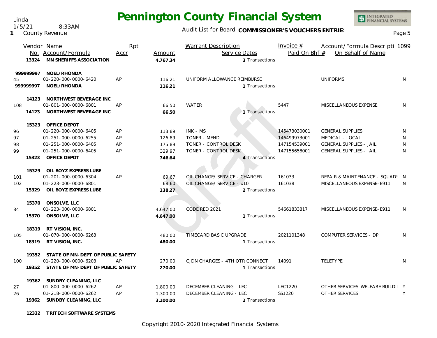Linda 1/5/21 8:33AM

**1** County Revenue

### Audit List for Board COMMISSIONER'S VOUCHERS ENTRIES<br>Page 5

|          |           | Vendor Name                             | Rpt  |          | Warrant Description            | Invoice $#$    | Account/Formula Descripti 1099  |              |
|----------|-----------|-----------------------------------------|------|----------|--------------------------------|----------------|---------------------------------|--------------|
|          |           | No. Account/Formula                     | Accr | Amount   | Service Dates                  | Paid On Bhf #  | On Behalf of Name               |              |
|          | 13324     | <b>MN SHERIFFS ASSOCIATION</b>          |      | 4,767.34 | 3 Transactions                 |                |                                 |              |
|          | 999999997 | NOEL/RHONDA                             |      |          |                                |                |                                 |              |
| 45       |           | 01-220-000-0000-6420                    | AP   | 116.21   | UNIFORM ALLOWANCE REIMBURSE    |                | <b>UNIFORMS</b>                 | N            |
| 99999997 |           | NOEL/RHONDA                             |      | 116.21   | 1 Transactions                 |                |                                 |              |
|          |           | 14123 NORTHWEST BEVERAGE INC            |      |          |                                |                |                                 |              |
| 108      |           | 01-801-000-0000-6801                    | AP   | 66.50    | <b>WATER</b>                   | 5447           | MISCELLANEOUS EXPENSE           | N            |
|          |           | 14123 NORTHWEST BEVERAGE INC            |      | 66.50    | 1 Transactions                 |                |                                 |              |
|          |           | 15323 OFFICE DEPOT                      |      |          |                                |                |                                 |              |
| 96       |           | 01-220-000-0000-6405                    | AP   | 113.89   | INK - MS                       | 145473030001   | <b>GENERAL SUPPLIES</b>         | N            |
| 97       |           | 01-251-000-0000-6255                    | AP   | 126.89   | <b>TONER - MEND</b>            | 146499973001   | MEDICAL - LOCAL                 | N            |
| 98       |           | 01-251-000-0000-6405                    | AP   | 175.89   | TONER - CONTROL DESK           | 147154539001   | <b>GENERAL SUPPLIES - JAIL</b>  | N            |
| 99       |           | 01-251-000-0000-6405                    | AP   | 329.97   | TONER - CONTROL DESK           | 147155658001   | <b>GENERAL SUPPLIES - JAIL</b>  | N            |
|          | 15323     | OFFICE DEPOT                            |      | 746.64   | 4 Transactions                 |                |                                 |              |
|          | 15329     | OIL BOYZ EXPRESS LUBE                   |      |          |                                |                |                                 |              |
| 101      |           | 01-201-000-0000-6304                    | AP   | 69.67    | OIL CHANGE/ SERVICE - CHARGER  | 161033         | REPAIR & MAINTENANCE - SQUAD! N |              |
| 102      |           | 01-223-000-0000-6801                    |      | 68.60    | OIL CHANGE/ SERVICE - #10      | 161038         | MISCELLANEOUS EXPENSE-E911      | <sup>N</sup> |
|          | 15329     | OIL BOYZ EXPRESS LUBE                   |      | 138.27   | 2 Transactions                 |                |                                 |              |
|          | 15370     | ONSOLVE, LLC                            |      |          |                                |                |                                 |              |
| 84       |           | 01-223-000-0000-6801                    |      | 4,647.00 | CODE RED 2021                  | 54661833817    | MISCELLANEOUS EXPENSE-E911      | N.           |
|          | 15370     | ONSOLVE, LLC                            |      | 4,647.00 | 1 Transactions                 |                |                                 |              |
|          |           | 18319 RT VISION, INC.                   |      |          |                                |                |                                 |              |
| 105      |           | 01-070-000-0000-6263                    |      | 480.00   | TIMECARD BASIC UPGRADE         | 2021101348     | COMPUTER SERVICES - DP          | N            |
|          |           | 18319 RT VISION, INC.                   |      | 480.00   | 1 Transactions                 |                |                                 |              |
|          |           | 19352 STATE OF MN-DEPT OF PUBLIC SAFETY |      |          |                                |                |                                 |              |
| 100      |           | 01-220-000-0000-6203                    | AP   | 270.00   | CJDN CHARGES - 4TH QTR CONNECT | 14091          | TELETYPE                        | N            |
|          |           | 19352 STATE OF MN-DEPT OF PUBLIC SAFETY |      | 270.00   | 1 Transactions                 |                |                                 |              |
|          |           | 19362 SUNDBY CLEANING, LLC              |      |          |                                |                |                                 |              |
| 27       |           | 01-800-000-0000-6262                    | AP   | 1,800.00 | DECEMBER CLEANING - LEC        | <b>LEC1220</b> | OTHER SERVICES-WELFARE BUILDI Y |              |
| 26       |           | 01-218-000-0000-6262                    | AP   | 1,300.00 | DECEMBER CLEANING - LEC        | SS1220         | OTHER SERVICES                  | Y            |
|          |           | 19362 SUNDBY CLEANING, LLC              |      | 3,100.00 | 2 Transactions                 |                |                                 |              |

**12332 TRITECH SOFTWARE SYSTEMS**

Copyright 2010-2020 Integrated Financial Systems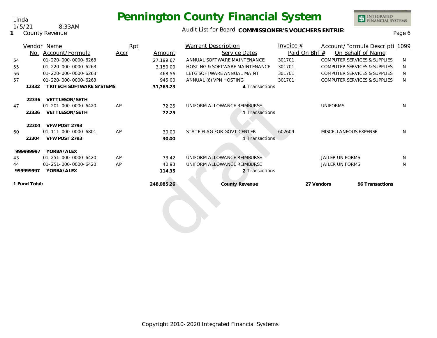### Audit List for Board COMMISSIONER'S VOUCHERS ENTRIES<br>Page 6

|               | Vendor Name              | Rpt  |            | <b>Warrant Description</b>     | Invoice $#$   | Account/Formula Descripti 1099          |                   |   |
|---------------|--------------------------|------|------------|--------------------------------|---------------|-----------------------------------------|-------------------|---|
| No.           | Account/Formula          | Accr | Amount     | Service Dates                  | Paid On Bhf # |                                         | On Behalf of Name |   |
| 54            | 01-220-000-0000-6263     |      | 27.199.67  | ANNUAL SOFTWARE MAINTENANCE    | 301701        | <b>COMPUTER SERVICES &amp; SUPPLIES</b> |                   | N |
| 55            | 01-220-000-0000-6263     |      | 3,150.00   | HOSTING & SOFTWARE MAINTENANCE | 301701        | <b>COMPUTER SERVICES &amp; SUPPLIES</b> |                   | N |
| 56            | 01-220-000-0000-6263     |      | 468.56     | LETG SOFTWARE ANNUAL MAINT     | 301701        | <b>COMPUTER SERVICES &amp; SUPPLIES</b> |                   | N |
| 57            | 01-220-000-0000-6263     |      | 945.00     | ANNUAL (6) VPN HOSTING         | 301701        | <b>COMPUTER SERVICES &amp; SUPPLIES</b> |                   | N |
| 12332         | TRITECH SOFTWARE SYSTEMS |      | 31,763.23  | 4 Transactions                 |               |                                         |                   |   |
| 22336         | <b>VETTLESON/SETH</b>    |      |            |                                |               |                                         |                   |   |
| 47            | 01-201-000-0000-6420     | AP   | 72.25      | UNIFORM ALLOWANCE REIMBURSE    |               | <b>UNIFORMS</b>                         |                   | N |
| 22336         | VETTLESON/SETH           |      | 72.25      | 1 Transactions                 |               |                                         |                   |   |
| 22304         | VFW POST 2793            |      |            |                                |               |                                         |                   |   |
| 60            | 01-111-000-0000-6801     | AP   | 30.00      | STATE FLAG FOR GOVT CENTER     | 602609        | MISCELLANEOUS EXPENSE                   |                   | N |
| 22304         | VFW POST 2793            |      | 30.00      | 1 Transactions                 |               |                                         |                   |   |
| 999999997     | YORBA/ALEX               |      |            |                                |               |                                         |                   |   |
| 43            | 01-251-000-0000-6420     | AP   | 73.42      | UNIFORM ALLOWANCE REIMBURSE    |               | <b>JAILER UNIFORMS</b>                  |                   | N |
| 44            | 01-251-000-0000-6420     | AP   | 40.93      | UNIFORM ALLOWANCE REIMBURSE    |               | <b>JAILER UNIFORMS</b>                  |                   | N |
| 999999997     | YORBA/ALEX               |      | 114.35     | 2 Transactions                 |               |                                         |                   |   |
| 1 Fund Total: |                          |      | 248,085.26 | County Revenue                 | 27 Vendors    |                                         | 96 Transactions   |   |
|               |                          |      |            |                                |               |                                         |                   |   |
|               |                          |      |            |                                |               |                                         |                   |   |
|               |                          |      |            |                                |               |                                         |                   |   |
|               |                          |      |            |                                |               |                                         |                   |   |
|               |                          |      |            |                                |               |                                         |                   |   |

Linda 1/5/21 8:33AM

**1** County Revenue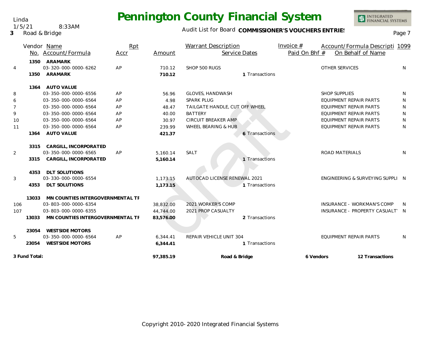#### Audit List for Board COMMISSIONER'S VOUCHERS ENTRIES<br>Page 7

|                | No.           | Vendor Name<br>Account/Formula   | Rpt<br>Accr | Amount    | <b>Warrant Description</b><br>Service Dates | Invoice $#$<br>Paid On Bhf # | Account/Formula Descripti 1099<br>On Behalf of Name |                 |
|----------------|---------------|----------------------------------|-------------|-----------|---------------------------------------------|------------------------------|-----------------------------------------------------|-----------------|
|                | 1350          | ARAMARK                          |             |           |                                             |                              |                                                     |                 |
| $\overline{4}$ |               | 03-320-000-0000-6262             | AP          | 710.12    | SHOP 500 RUGS                               |                              | <b>OTHER SERVICES</b>                               | N               |
|                | 1350          | ARAMARK                          |             | 710.12    | 1 Transactions                              |                              |                                                     |                 |
|                |               | 1364 AUTO VALUE                  |             |           |                                             |                              |                                                     |                 |
| 8              |               | 03-350-000-0000-6556             | AP          | 56.96     | <b>GLOVES, HANDWASH</b>                     |                              | <b>SHOP SUPPLIES</b>                                | N               |
| 6              |               | 03-350-000-0000-6564             | AP          | 4.98      | <b>SPARK PLUG</b>                           |                              | EQUIPMENT REPAIR PARTS                              | N               |
| $\overline{7}$ |               | 03-350-000-0000-6564             | AP          | 48.47     | TAILGATE HANDLE, CUT OFF WHEEL              |                              | <b>EQUIPMENT REPAIR PARTS</b>                       | N               |
| 9              |               | 03-350-000-0000-6564             | AP          | 40.00     | <b>BATTERY</b>                              |                              | EQUIPMENT REPAIR PARTS                              | N               |
| 10             |               | 03-350-000-0000-6564             | AP          | 30.97     | CIRCUIT BREAKER AMP                         |                              | <b>EQUIPMENT REPAIR PARTS</b>                       | N               |
| 11             |               | 03-350-000-0000-6564             | AP          | 239.99    | WHEEL BEARING & HUB                         |                              | <b>EQUIPMENT REPAIR PARTS</b>                       | N               |
|                | 1364          | <b>AUTO VALUE</b>                |             | 421.37    | 6 Transactions                              |                              |                                                     |                 |
|                | 3315          | CARGILL, INCORPORATED            |             |           |                                             |                              |                                                     |                 |
| $\overline{2}$ |               | 03-350-000-0000-6565             | AP          | 5,160.14  | SALT                                        |                              | <b>ROAD MATERIALS</b>                               | N               |
|                | 3315          | CARGILL, INCORPORATED            |             | 5,160.14  | 1 Transactions                              |                              |                                                     |                 |
|                | 4353          | <b>DLT SOLUTIONS</b>             |             |           |                                             |                              |                                                     |                 |
| 3              |               | 03-330-000-0000-6554             |             | 1,173.15  | AUTOCAD LICENSE RENEWAL 2021                |                              | ENGINEERING & SURVEYING SUPPLI N                    |                 |
|                | 4353          | <b>DLT SOLUTIONS</b>             |             | 1,173.15  | 1 Transactions                              |                              |                                                     |                 |
|                | 13033         | MN COUNTIES INTERGOVERNMENTAL TF |             |           |                                             |                              |                                                     |                 |
| 106            |               | 03-803-000-0000-6354             |             | 38,832.00 | 2021 WORKER'S COMP                          |                              | INSURANCE - WORKMAN'S COMP                          | N.              |
| 107            |               | 03-803-000-0000-6355             |             | 44.744.00 | 2021 PROP CASUALTY                          |                              | INSURANCE - PROPERTY CASUALT' N                     |                 |
|                | 13033         | MN COUNTIES INTERGOVERNMENTAL TF |             | 83,576.00 | 2 Transactions                              |                              |                                                     |                 |
|                | 23054         | <b>WESTSIDE MOTORS</b>           |             |           |                                             |                              |                                                     |                 |
| 5              |               | 03-350-000-0000-6564             | AP          | 6,344.41  | REPAIR VEHICLE UNIT 304                     |                              | <b>EQUIPMENT REPAIR PARTS</b>                       | N               |
|                | 23054         | <b>WESTSIDE MOTORS</b>           |             | 6,344.41  | 1 Transactions                              |                              |                                                     |                 |
|                | 3 Fund Total: |                                  |             | 97,385.19 | Road & Bridge                               | 6 Vendors                    |                                                     | 12 Transactions |

Linda 1/5/21 8:33AM

**3** Road & Bridge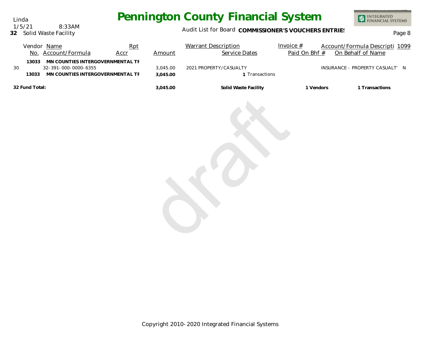Linda 1/5/21 8:33AM

#### **32** Solid Waste Facility

### Audit List for Board COMMISSIONER'S VOUCHERS ENTRIES<br>Page 8

|    |                | Vendor Name<br>No. Account/Formula                                                           | Rpt<br><b>Accr</b> | Amount               | <b>Warrant Description</b><br>Service Dates | Invoice $#$<br>Paid On Bhf # | Account/Formula Descripti 1099<br>On Behalf of Name |
|----|----------------|----------------------------------------------------------------------------------------------|--------------------|----------------------|---------------------------------------------|------------------------------|-----------------------------------------------------|
| 30 | 13033<br>13033 | MN COUNTIES INTERGOVERNMENTAL TF<br>32-391-000-0000-6355<br>MN COUNTIES INTERGOVERNMENTAL TF |                    | 3,045.00<br>3,045.00 | 2021 PROPERTY/CASUALTY<br>1 Transactions    |                              | INSURANCE - PROPERTY CASUALT' N                     |
|    | 32 Fund Total: |                                                                                              |                    | 3,045.00             | Solid Waste Facility                        | 1 Vendors                    | 1 Transactions                                      |
|    |                |                                                                                              |                    |                      |                                             |                              |                                                     |

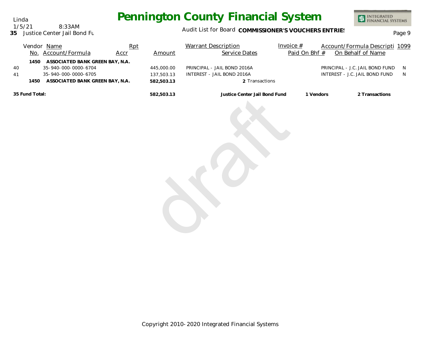INTEGRATED<br>FINANCIAL SYSTEMS

#### 1/5/21 8:33AM

Linda

#### **35** Justice Center Jail Bond Fund

#### Audit List for Board COMMISSIONER'S VOUCHERS ENTRIES<br>Page 9

|                                                           |  | Vendor Name                                                                          | Rpt  |                                        | <b>Warrant Description</b>                                                  | Invoice $#$   | Account/Formula Descripti 1099                                    |                     |
|-----------------------------------------------------------|--|--------------------------------------------------------------------------------------|------|----------------------------------------|-----------------------------------------------------------------------------|---------------|-------------------------------------------------------------------|---------------------|
|                                                           |  | No. Account/Formula                                                                  | Accr | Amount                                 | Service Dates                                                               | Paid On Bhf # | On Behalf of Name                                                 |                     |
| 40<br>41                                                  |  | 1450 ASSOCIATED BANK GREEN BAY, N.A.<br>35-940-000-0000-6704<br>35-940-000-0000-6705 |      | 445,000.00<br>137,503.13<br>582,503.13 | PRINCIPAL - JAIL BOND 2016A<br>INTEREST - JAIL BOND 2016A<br>2 Transactions |               | PRINCIPAL - J.C. JAIL BOND FUND<br>INTEREST - J.C. JAIL BOND FUND | N <sub>1</sub><br>N |
|                                                           |  |                                                                                      |      | 582,503.13                             | Justice Center Jail Bond Fund                                               | 1 Vendors     | 2 Transactions                                                    |                     |
| ASSOCIATED BANK GREEN BAY, N.A.<br>1450<br>35 Fund Total: |  |                                                                                      |      |                                        |                                                                             |               |                                                                   |                     |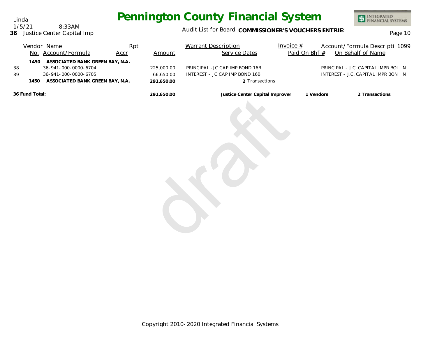INTEGRATED<br>FINANCIAL SYSTEMS

### Audit List for Board COMMISSIONER'S VOUCHERS ENTRIES<br>Page 10

|                          | Vendor Name<br>No. Account/Formula                                                                                 | Rpt<br>Accr | Amount                                | <b>Warrant Description</b><br>Service Dates                                         | Invoice $#$<br>Paid On Bhf # | Account/Formula Descripti 1099<br>On Behalf of Name                       |  |
|--------------------------|--------------------------------------------------------------------------------------------------------------------|-------------|---------------------------------------|-------------------------------------------------------------------------------------|------------------------------|---------------------------------------------------------------------------|--|
| 1450<br>38<br>39<br>1450 | ASSOCIATED BANK GREEN BAY, N.A.<br>36-941-000-0000-6704<br>36-941-000-0000-6705<br>ASSOCIATED BANK GREEN BAY, N.A. |             | 225,000.00<br>66,650.00<br>291,650.00 | PRINCIPAL - JC CAP IMP BOND 16B<br>INTEREST - JC CAP IMP BOND 16B<br>2 Transactions |                              | PRINCIPAL - J.C. CAPITAL IMPR BOI N<br>INTEREST - J.C. CAPITAL IMPR BON N |  |
| 36 Fund Total:           |                                                                                                                    |             | 291,650.00                            | Justice Center Capital Improven                                                     | 1 Vendors                    | 2 Transactions                                                            |  |

Linda 1/5/21 8:33AM

**36** Justice Center Capital Imp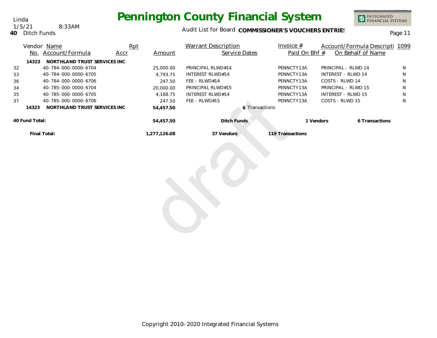1/5/21 8:33AM

### Audit List for Board COMMISSIONER'S VOUCHERS ENTRIES<br>
Page 11

|    |                | Vendor Name<br>No. Account/Formula | Rpt<br>Accr | Amount       | Warrant Description<br>Service Dates | Invoice $#$<br>Paid On Bhf # | Account/Formula Descripti 1099<br>On Behalf of Name |   |
|----|----------------|------------------------------------|-------------|--------------|--------------------------------------|------------------------------|-----------------------------------------------------|---|
|    | 14323          | NORTHLAND TRUST SERVICES INC       |             |              |                                      |                              |                                                     |   |
| 32 |                | 40-784-000-0000-6704               |             | 25,000.00    | PRINCIPAL RLWD#14                    | PENNCTY13A                   | PRINCIPAL - RLWD 14                                 | N |
| 33 |                | 40-784-000-0000-6705               |             | 4,793.75     | <b>INTEREST RLWD#14</b>              | PENNCTY13A                   | <b>INTEREST - RLWD 14</b>                           | N |
| 36 |                | 40-784-000-0000-6706               |             | 247.50       | FEE - RLWD#14                        | PENNCTY13A                   | COSTS - RLWD 14                                     | N |
| 34 |                | 40-785-000-0000-6704               |             | 20,000.00    | PRINCIPAL RLWD#15                    | PENNCTY13A                   | PRINCIPAL - RLWD 15                                 | N |
| 35 |                | 40-785-000-0000-6705               |             | 4,168.75     | <b>INTEREST RLWD#14</b>              | PENNCTY13A                   | INTEREST - RLWD 15                                  | N |
| 37 |                | 40-785-000-0000-6706               |             | 247.50       | FEE - RLWD#15                        | PENNCTY13A                   | COSTS - RLWD 15                                     | N |
|    | 14323          | NORTHLAND TRUST SERVICES INC       |             | 54,457.50    |                                      | 6 Transactions               |                                                     |   |
|    | 40 Fund Total: |                                    |             | 54,457.50    | Ditch Funds                          | 1 Vendors                    | 6 Transactions                                      |   |
|    |                | Final Total:                       |             | 1,277,126.08 | 37 Vendors                           | 119 Transactions             |                                                     |   |
|    |                |                                    |             |              |                                      |                              |                                                     |   |



Linda

#### **40** Ditch Funds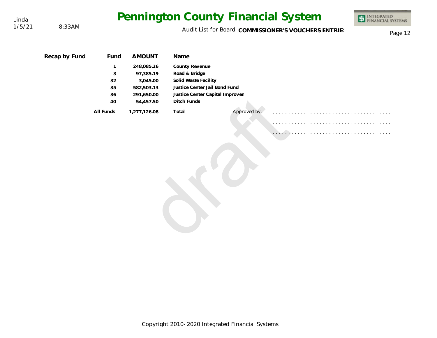1/5/21 8:33AM

Audit List for Board COMMISSIONER'S VOUCHERS ENTRIES<br>Page 12

| Recap by Fund | Fund         | <b>AMOUNT</b> | Name                            |              |   |  |  |
|---------------|--------------|---------------|---------------------------------|--------------|---|--|--|
|               | $\mathbf{1}$ | 248,085.26    | County Revenue                  |              |   |  |  |
|               | 3            | 97,385.19     | Road & Bridge                   |              |   |  |  |
|               | 32           | 3,045.00      | Solid Waste Facility            |              |   |  |  |
|               | 35           | 582,503.13    | Justice Center Jail Bond Fund   |              |   |  |  |
|               | 36           | 291,650.00    | Justice Center Capital Improven |              |   |  |  |
|               | 40           | 54,457.50     | Ditch Funds                     |              |   |  |  |
|               | All Funds    | 1,277,126.08  | Total                           | Approved by, |   |  |  |
|               |              |               |                                 |              |   |  |  |
|               |              |               |                                 |              |   |  |  |
|               |              |               |                                 |              | . |  |  |
|               |              |               |                                 |              |   |  |  |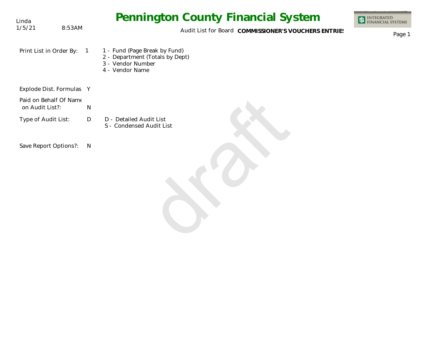| Linda                                     |            | <b>Pennington County Financial System</b>                                                                | <b>INTEGRATED</b><br><b>FINANCIAL SYSTEMS</b> |
|-------------------------------------------|------------|----------------------------------------------------------------------------------------------------------|-----------------------------------------------|
| 1/5/21                                    | 8:53AM     | Audit List for Board COMMISSIONER'S VOUCHERS ENTRIES                                                     | Page 1                                        |
| Print List in Order By:                   | $\sqrt{1}$ | 1 - Fund (Page Break by Fund)<br>2 - Department (Totals by Dept)<br>3 - Vendor Number<br>4 - Vendor Name |                                               |
| Explode Dist. Formulas Y                  |            |                                                                                                          |                                               |
| Paid on Behalf Of Name<br>on Audit List?: | ${\sf N}$  |                                                                                                          |                                               |
| Type of Audit List:                       | D          | D - Detailed Audit List<br>S - Condensed Audit List                                                      |                                               |
| Save Report Options?:                     | N          |                                                                                                          |                                               |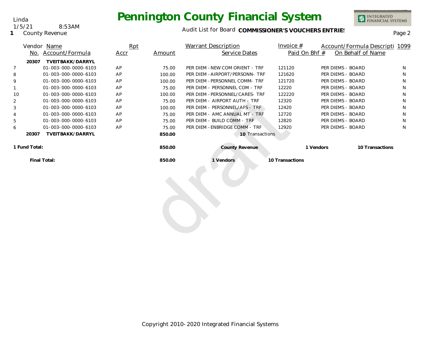

INTEGRATED<br>FINANCIAL SYSTEMS

**1** County Revenue

#### Audit List for Board COMMISSIONER'S VOUCHERS ENTRIES<br>Page 2

|                | No.   | Vendor Name<br>Account/Formula           | Rpt<br>Accr | Amount | Warrant Description<br>Service Dates | Invoice $#$<br>Paid On Bhf # |                   | Account/Formula Descripti 1099<br>On Behalf of Name |   |
|----------------|-------|------------------------------------------|-------------|--------|--------------------------------------|------------------------------|-------------------|-----------------------------------------------------|---|
| $\overline{7}$ | 20307 | TVEITBAKK/DARRYL<br>01-003-000-0000-6103 | AP          | 75.00  | PER DIEM - NEW COM ORIENT - TRF      | 121120                       | PER DIEMS - BOARD |                                                     | N |
| 8              |       | 01-003-000-0000-6103                     | AP          | 100.00 | PER DIEM - AIRPORT/PERSONN- TRF      | 121620                       | PER DIEMS - BOARD |                                                     | N |
| 9              |       | 01-003-000-0000-6103                     | AP          | 100.00 | PER DIEM - PERSONNEL COMM- TRF       | 121720                       | PER DIEMS - BOARD |                                                     | N |
|                |       | 01-003-000-0000-6103                     | AP          | 75.00  | PER DIEM - PERSONNEL COM - TRF       | 12220                        | PER DIEMS - BOARD |                                                     | N |
| 10             |       | 01-003-000-0000-6103                     | AP          | 100.00 | PER DIEM - PERSONNEL/CARES- TRF      | 122220                       | PER DIEMS - BOARD |                                                     | N |
| 2              |       | 01-003-000-0000-6103                     | AP          | 75.00  | PER DIEM - AIRPORT AUTH - TRF        | 12320                        | PER DIEMS - BOARD |                                                     | N |
| 3              |       | 01-003-000-0000-6103                     | AP          | 100.00 | PER DIEM - PERSONNEL/AFS - TRF       | 12420                        | PER DIEMS - BOARD |                                                     | N |
| 4              |       | 01-003-000-0000-6103                     | AP          | 75.00  | PER DIEM - AMC ANNUAL MT - TRF       | 12720                        | PER DIEMS - BOARD |                                                     | N |
| 5              |       | 01-003-000-0000-6103                     | AP          | 75.00  | PER DIEM - BUILD COMM - TRF          | 12820                        | PER DIEMS - BOARD |                                                     | N |
| 6              |       | 01-003-000-0000-6103                     | AP          | 75.00  | PER DIEM - ENBRIDGE COMM - TRF       | 12920                        | PER DIEMS - BOARD |                                                     | N |
|                | 20307 | TVEITBAKK/DARRYL                         |             | 850.00 | 10 Transactions                      |                              |                   |                                                     |   |
| 1 Fund Total:  |       |                                          |             | 850.00 | County Revenue                       |                              | 1 Vendors         | 10 Transactions                                     |   |
|                |       | Final Total:                             |             | 850.00 | 1 Vendors                            | 10 Transactions              |                   |                                                     |   |
|                |       |                                          |             |        |                                      |                              |                   |                                                     |   |
|                |       |                                          |             |        |                                      |                              |                   |                                                     |   |
|                |       |                                          |             |        |                                      |                              |                   |                                                     |   |
|                |       |                                          |             |        |                                      |                              |                   |                                                     |   |
|                |       |                                          |             |        |                                      |                              |                   |                                                     |   |
|                |       |                                          |             |        |                                      |                              |                   |                                                     |   |

Linda 1/5/21 8:53AM